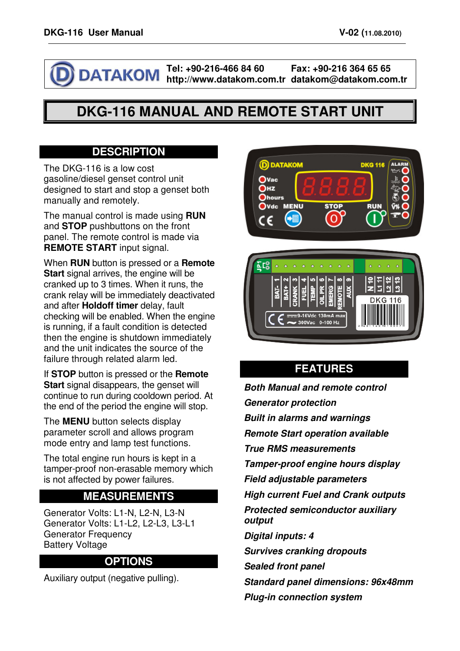I

**Tel: +90-216-466 84 60 DATAKOM** 

**http://www.datakom.com.tr datakom@datakom.com.tr Fax: +90-216 364 65 65** 

# **DKG-116 MANUAL AND REMOTE START UNIT**

#### **DESCRIPTION**

The DKG-116 is a low cost gasoline/diesel genset control unit designed to start and stop a genset both manually and remotely.

The manual control is made using **RUN** and **STOP** pushbuttons on the front panel. The remote control is made via **REMOTE START** input signal.

When **RUN** button is pressed or a **Remote Start** signal arrives, the engine will be cranked up to 3 times. When it runs, the crank relay will be immediately deactivated and after **Holdoff timer** delay, fault checking will be enabled. When the engine is running, if a fault condition is detected then the engine is shutdown immediately and the unit indicates the source of the failure through related alarm led.

If **STOP** button is pressed or the **Remote Start** signal disappears, the genset will continue to run during cooldown period. At the end of the period the engine will stop.

The **MENU** button selects display parameter scroll and allows program mode entry and lamp test functions.

The total engine run hours is kept in a tamper-proof non-erasable memory which is not affected by power failures.

#### **MEASUREMENTS**

Generator Volts: L1-N, L2-N, L3-N Generator Volts: L1-L2, L2-L3, L3-L1 Generator Frequency Battery Voltage

#### **OPTIONS**

Auxiliary output (negative pulling).





### **FEATURES**

**Both Manual and remote control Generator protection Built in alarms and warnings Remote Start operation available True RMS measurements Tamper-proof engine hours display Field adjustable parameters High current Fuel and Crank outputs Protected semiconductor auxiliary output Digital inputs: 4 Survives cranking dropouts Sealed front panel Standard panel dimensions: 96x48mm Plug-in connection system**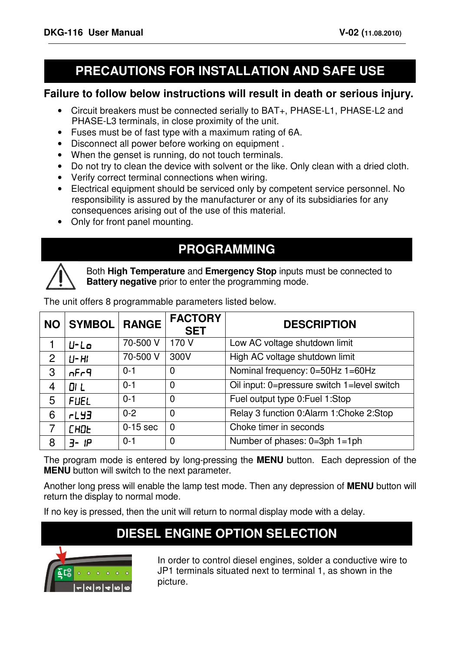# **PRECAUTIONS FOR INSTALLATION AND SAFE USE**

#### **Failure to follow below instructions will result in death or serious injury.**

- Circuit breakers must be connected serially to BAT+, PHASE-L1, PHASE-L2 and PHASE-L3 terminals, in close proximity of the unit.
- Fuses must be of fast type with a maximum rating of 6A.
- Disconnect all power before working on equipment .
- When the genset is running, do not touch terminals.
- Do not try to clean the device with solvent or the like. Only clean with a dried cloth.
- Verify correct terminal connections when wiring.
- Electrical equipment should be serviced only by competent service personnel. No responsibility is assured by the manufacturer or any of its subsidiaries for any consequences arising out of the use of this material.
- Only for front panel mounting.

## **PROGRAMMING**



Both **High Temperature** and **Emergency Stop** inputs must be connected to **Battery negative** prior to enter the programming mode.

| <b>NO</b> | <b>SYMBOL</b> | <b>RANGE</b> | <b>FACTORY</b><br><b>SET</b> | <b>DESCRIPTION</b>                          |
|-----------|---------------|--------------|------------------------------|---------------------------------------------|
|           | $U - Lo$      | 70-500 V     | 170 V                        | Low AC voltage shutdown limit               |
| 2         | $U$ - $H$     | 70-500 V     | 300V                         | High AC voltage shutdown limit              |
| 3         | nFr9          | $0 - 1$      | $\mathbf 0$                  | Nominal frequency: 0=50Hz 1=60Hz            |
| 4         | <b>OI L</b>   | $0 - 1$      | $\mathbf 0$                  | Oil input: 0=pressure switch 1=level switch |
| 5         | <b>FUEL</b>   | $0 - 1$      | $\overline{0}$               | Fuel output type 0: Fuel 1: Stop            |
| 6         | <b>FLY3</b>   | $0 - 2$      | $\Omega$                     | Relay 3 function 0:Alarm 1:Choke 2:Stop     |
| 7         | <b>CHOL</b>   | $0-15$ sec   | $\overline{0}$               | Choke timer in seconds                      |
| 8         | - IP          | $0 - 1$      | $\mathbf 0$                  | Number of phases: 0=3ph 1=1ph               |

The unit offers 8 programmable parameters listed below.

The program mode is entered by long-pressing the **MENU** button. Each depression of the **MENU** button will switch to the next parameter.

Another long press will enable the lamp test mode. Then any depression of **MENU** button will return the display to normal mode.

If no key is pressed, then the unit will return to normal display mode with a delay.

# **DIESEL ENGINE OPTION SELECTION**



In order to control diesel engines, solder a conductive wire to JP1 terminals situated next to terminal 1, as shown in the picture.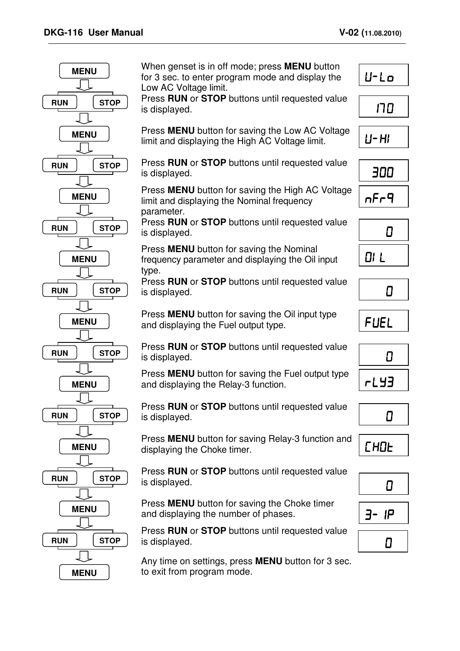